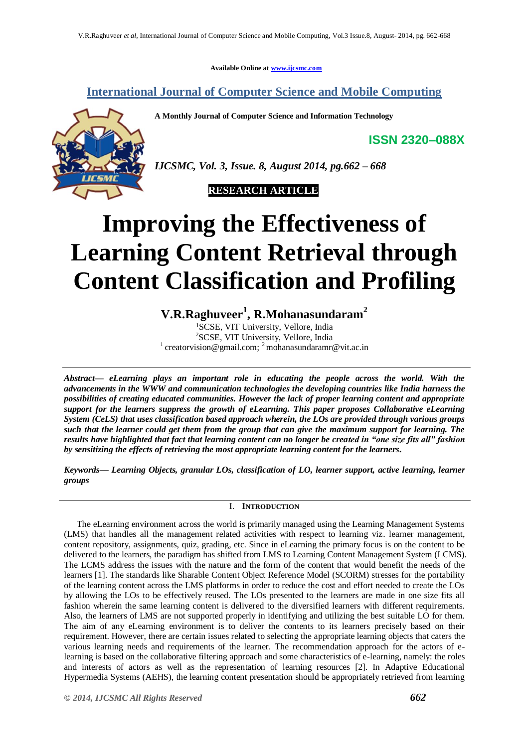**Available Online at [www.ijcsmc.com](http://www.ijcsmc.com/)**

**International Journal of Computer Science and Mobile Computing**

**A Monthly Journal of Computer Science and Information Technology**

**ISSN 2320–088X**



*IJCSMC, Vol. 3, Issue. 8, August 2014, pg.662 – 668*



# **Improving the Effectiveness of Learning Content Retrieval through Content Classification and Profiling**

**V.R.Raghuveer<sup>1</sup> , R.Mohanasundaram<sup>2</sup>**

<sup>1</sup>SCSE, VIT University, Vellore, India <sup>2</sup>SCSE, VIT University, Vellore, India <sup>1</sup> creatorvision@gmail.com; <sup>2</sup> mohanasundaramr@vit.ac.in

*Abstract— eLearning plays an important role in educating the people across the world. With the advancements in the WWW and communication technologies the developing countries like India harness the possibilities of creating educated communities. However the lack of proper learning content and appropriate support for the learners suppress the growth of eLearning. This paper proposes Collaborative eLearning System (CeLS) that uses classification based approach wherein, the LOs are provided through various groups such that the learner could get them from the group that can give the maximum support for learning. The results have highlighted that fact that learning content can no longer be created in "one size fits all" fashion by sensitizing the effects of retrieving the most appropriate learning content for the learners.*

*Keywords— Learning Objects, granular LOs, classification of LO, learner support, active learning, learner groups*

# I. **INTRODUCTION**

The eLearning environment across the world is primarily managed using the Learning Management Systems (LMS) that handles all the management related activities with respect to learning viz. learner management, content repository, assignments, quiz, grading, etc. Since in eLearning the primary focus is on the content to be delivered to the learners, the paradigm has shifted from LMS to Learning Content Management System (LCMS). The LCMS address the issues with the nature and the form of the content that would benefit the needs of the learners [1]. The standards like Sharable Content Object Reference Model (SCORM) stresses for the portability of the learning content across the LMS platforms in order to reduce the cost and effort needed to create the LOs by allowing the LOs to be effectively reused. The LOs presented to the learners are made in one size fits all fashion wherein the same learning content is delivered to the diversified learners with different requirements. Also, the learners of LMS are not supported properly in identifying and utilizing the best suitable LO for them. The aim of any eLearning environment is to deliver the contents to its learners precisely based on their requirement. However, there are certain issues related to selecting the appropriate learning objects that caters the various learning needs and requirements of the learner. The recommendation approach for the actors of elearning is based on the collaborative filtering approach and some characteristics of e-learning, namely: the roles and interests of actors as well as the representation of learning resources [2]. In Adaptive Educational Hypermedia Systems (AEHS), the learning content presentation should be appropriately retrieved from learning

*© 2014, IJCSMC All Rights Reserved 662*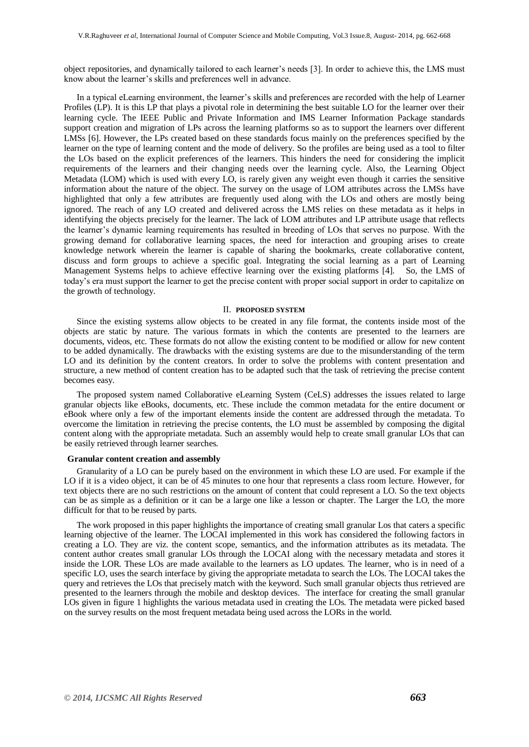object repositories, and dynamically tailored to each learner's needs [3]. In order to achieve this, the LMS must know about the learner's skills and preferences well in advance.

In a typical eLearning environment, the learner's skills and preferences are recorded with the help of Learner Profiles (LP). It is this LP that plays a pivotal role in determining the best suitable LO for the learner over their learning cycle. The IEEE Public and Private Information and IMS Learner Information Package standards support creation and migration of LPs across the learning platforms so as to support the learners over different LMSs [6]. However, the LPs created based on these standards focus mainly on the preferences specified by the learner on the type of learning content and the mode of delivery. So the profiles are being used as a tool to filter the LOs based on the explicit preferences of the learners. This hinders the need for considering the implicit requirements of the learners and their changing needs over the learning cycle. Also, the Learning Object Metadata (LOM) which is used with every LO, is rarely given any weight even though it carries the sensitive information about the nature of the object. The survey on the usage of LOM attributes across the LMSs have highlighted that only a few attributes are frequently used along with the LOs and others are mostly being ignored. The reach of any LO created and delivered across the LMS relies on these metadata as it helps in identifying the objects precisely for the learner. The lack of LOM attributes and LP attribute usage that reflects the learner's dynamic learning requirements has resulted in breeding of LOs that serves no purpose. With the growing demand for collaborative learning spaces, the need for interaction and grouping arises to create knowledge network wherein the learner is capable of sharing the bookmarks, create collaborative content, discuss and form groups to achieve a specific goal. Integrating the social learning as a part of Learning Management Systems helps to achieve effective learning over the existing platforms [4]. So, the LMS of today's era must support the learner to get the precise content with proper social support in order to capitalize on the growth of technology.

#### II. **PROPOSED SYSTEM**

Since the existing systems allow objects to be created in any file format, the contents inside most of the objects are static by nature. The various formats in which the contents are presented to the learners are documents, videos, etc. These formats do not allow the existing content to be modified or allow for new content to be added dynamically. The drawbacks with the existing systems are due to the misunderstanding of the term LO and its definition by the content creators. In order to solve the problems with content presentation and structure, a new method of content creation has to be adapted such that the task of retrieving the precise content becomes easy.

The proposed system named Collaborative eLearning System (CeLS) addresses the issues related to large granular objects like eBooks, documents, etc. These include the common metadata for the entire document or eBook where only a few of the important elements inside the content are addressed through the metadata. To overcome the limitation in retrieving the precise contents, the LO must be assembled by composing the digital content along with the appropriate metadata. Such an assembly would help to create small granular LOs that can be easily retrieved through learner searches.

#### **Granular content creation and assembly**

Granularity of a LO can be purely based on the environment in which these LO are used. For example if the LO if it is a video object, it can be of 45 minutes to one hour that represents a class room lecture. However, for text objects there are no such restrictions on the amount of content that could represent a LO. So the text objects can be as simple as a definition or it can be a large one like a lesson or chapter. The Larger the LO, the more difficult for that to be reused by parts.

The work proposed in this paper highlights the importance of creating small granular Los that caters a specific learning objective of the learner. The LOCAI implemented in this work has considered the following factors in creating a LO. They are viz. the content scope, semantics, and the information attributes as its metadata. The content author creates small granular LOs through the LOCAI along with the necessary metadata and stores it inside the LOR. These LOs are made available to the learners as LO updates. The learner, who is in need of a specific LO, uses the search interface by giving the appropriate metadata to search the LOs. The LOCAI takes the query and retrieves the LOs that precisely match with the keyword. Such small granular objects thus retrieved are presented to the learners through the mobile and desktop devices. The interface for creating the small granular LOs given in figure 1 highlights the various metadata used in creating the LOs. The metadata were picked based on the survey results on the most frequent metadata being used across the LORs in the world.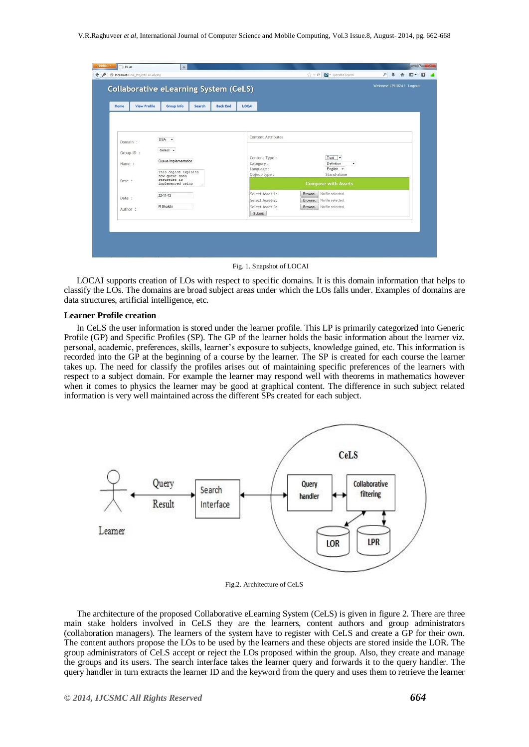| Home                | <b>View Profile</b><br>Group Info<br><b>Back End</b><br>Search              | LOCAL                                                                                             |
|---------------------|-----------------------------------------------------------------------------|---------------------------------------------------------------------------------------------------|
|                     |                                                                             | Content Attributes                                                                                |
| Domain :            | $DSA -$<br>-Select-                                                         |                                                                                                   |
| Group-ID :<br>Name: | Queue Implementation                                                        | Text $\mathbf{v}$<br>Content Type:<br>Category:<br>Definition<br>۰                                |
| Desc:               | This object explains<br>how queue data<br>structure is<br>implemented using | English -<br>Language:<br>Stand-alone<br>Object-type:<br><b>Compose with Assets</b>               |
| Date:               | $22 - 11 - 13$                                                              | Select Asset-1:<br>No file selected.<br>Browse<br>Select Asset-2:<br>No file selected.<br>Browse. |
| Author:             | R Shakthi                                                                   | Select Asset-3:<br>No file selected.<br>Browse_<br>Submit                                         |

Fig. 1. Snapshot of LOCAI

LOCAI supports creation of LOs with respect to specific domains. It is this domain information that helps to classify the LOs. The domains are broad subject areas under which the LOs falls under. Examples of domains are data structures, artificial intelligence, etc.

#### **Learner Profile creation**

In CeLS the user information is stored under the learner profile. This LP is primarily categorized into Generic Profile (GP) and Specific Profiles (SP). The GP of the learner holds the basic information about the learner viz. personal, academic, preferences, skills, learner's exposure to subjects, knowledge gained, etc. This information is recorded into the GP at the beginning of a course by the learner. The SP is created for each course the learner takes up. The need for classify the profiles arises out of maintaining specific preferences of the learners with respect to a subject domain. For example the learner may respond well with theorems in mathematics however when it comes to physics the learner may be good at graphical content. The difference in such subject related information is very well maintained across the different SPs created for each subject.



Fig.2. Architecture of CeLS

The architecture of the proposed Collaborative eLearning System (CeLS) is given in figure 2. There are three main stake holders involved in CeLS they are the learners, content authors and group administrators (collaboration managers). The learners of the system have to register with CeLS and create a GP for their own. The content authors propose the LOs to be used by the learners and these objects are stored inside the LOR. The group administrators of CeLS accept or reject the LOs proposed within the group. Also, they create and manage the groups and its users. The search interface takes the learner query and forwards it to the query handler. The query handler in turn extracts the learner ID and the keyword from the query and uses them to retrieve the learner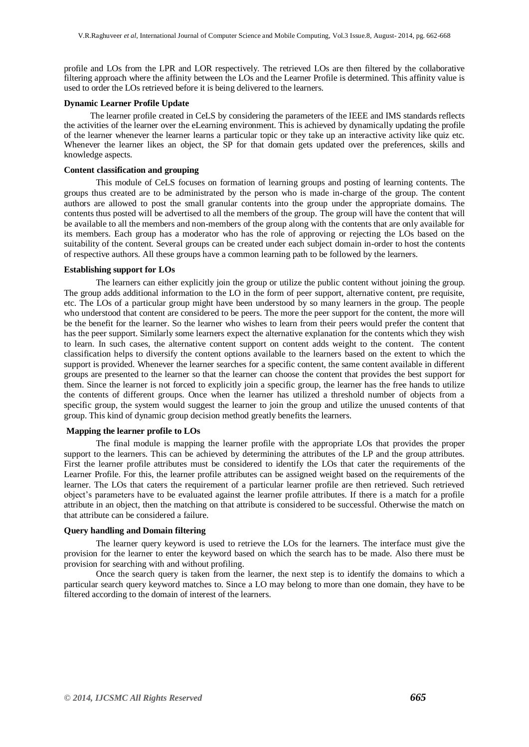profile and LOs from the LPR and LOR respectively. The retrieved LOs are then filtered by the collaborative filtering approach where the affinity between the LOs and the Learner Profile is determined. This affinity value is used to order the LOs retrieved before it is being delivered to the learners.

#### **Dynamic Learner Profile Update**

 The learner profile created in CeLS by considering the parameters of the IEEE and IMS standards reflects the activities of the learner over the eLearning environment. This is achieved by dynamically updating the profile of the learner whenever the learner learns a particular topic or they take up an interactive activity like quiz etc. Whenever the learner likes an object, the SP for that domain gets updated over the preferences, skills and knowledge aspects.

#### **Content classification and grouping**

This module of CeLS focuses on formation of learning groups and posting of learning contents. The groups thus created are to be administrated by the person who is made in-charge of the group. The content authors are allowed to post the small granular contents into the group under the appropriate domains. The contents thus posted will be advertised to all the members of the group. The group will have the content that will be available to all the members and non-members of the group along with the contents that are only available for its members. Each group has a moderator who has the role of approving or rejecting the LOs based on the suitability of the content. Several groups can be created under each subject domain in-order to host the contents of respective authors. All these groups have a common learning path to be followed by the learners.

#### **Establishing support for LOs**

The learners can either explicitly join the group or utilize the public content without joining the group. The group adds additional information to the LO in the form of peer support, alternative content, pre requisite, etc. The LOs of a particular group might have been understood by so many learners in the group. The people who understood that content are considered to be peers. The more the peer support for the content, the more will be the benefit for the learner. So the learner who wishes to learn from their peers would prefer the content that has the peer support. Similarly some learners expect the alternative explanation for the contents which they wish to learn. In such cases, the alternative content support on content adds weight to the content. The content classification helps to diversify the content options available to the learners based on the extent to which the support is provided. Whenever the learner searches for a specific content, the same content available in different groups are presented to the learner so that the learner can choose the content that provides the best support for them. Since the learner is not forced to explicitly join a specific group, the learner has the free hands to utilize the contents of different groups. Once when the learner has utilized a threshold number of objects from a specific group, the system would suggest the learner to join the group and utilize the unused contents of that group. This kind of dynamic group decision method greatly benefits the learners.

## **Mapping the learner profile to LOs**

The final module is mapping the learner profile with the appropriate LOs that provides the proper support to the learners. This can be achieved by determining the attributes of the LP and the group attributes. First the learner profile attributes must be considered to identify the LOs that cater the requirements of the Learner Profile. For this, the learner profile attributes can be assigned weight based on the requirements of the learner. The LOs that caters the requirement of a particular learner profile are then retrieved. Such retrieved object's parameters have to be evaluated against the learner profile attributes. If there is a match for a profile attribute in an object, then the matching on that attribute is considered to be successful. Otherwise the match on that attribute can be considered a failure.

## **Query handling and Domain filtering**

The learner query keyword is used to retrieve the LOs for the learners. The interface must give the provision for the learner to enter the keyword based on which the search has to be made. Also there must be provision for searching with and without profiling.

Once the search query is taken from the learner, the next step is to identify the domains to which a particular search query keyword matches to. Since a LO may belong to more than one domain, they have to be filtered according to the domain of interest of the learners.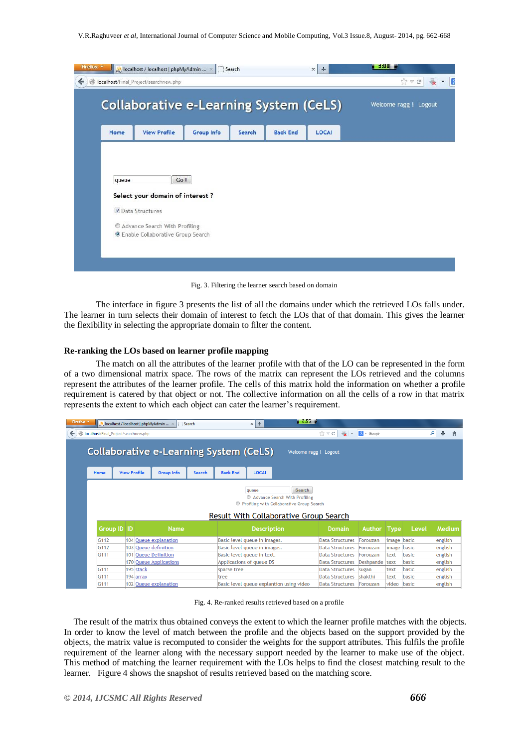|       | AM localhost / localhost   phpMyAdmin  X                     |            | Search |                 | $\times$<br>$+$ | 3.00                  |
|-------|--------------------------------------------------------------|------------|--------|-----------------|-----------------|-----------------------|
|       | localhost/Final_Project/searchnew.php                        |            |        |                 | ☆ v c           |                       |
|       | <b>Collaborative e-Learning System (CeLS)</b>                |            |        |                 |                 | Welcome ragg ! Logout |
|       |                                                              |            |        |                 |                 |                       |
| Home  | <b>View Profile</b>                                          | Group Info | Search | <b>Back End</b> | LOCAL           |                       |
|       |                                                              |            |        |                 |                 |                       |
| queue | Go !!<br>Select your domain of interest ?<br>Data Structures |            |        |                 |                 |                       |

Fig. 3. Filtering the learner search based on domain

The interface in figure 3 presents the list of all the domains under which the retrieved LOs falls under. The learner in turn selects their domain of interest to fetch the LOs that of that domain. This gives the learner the flexibility in selecting the appropriate domain to filter the content.

## **Re-ranking the LOs based on learner profile mapping**

The match on all the attributes of the learner profile with that of the LO can be represented in the form of a two dimensional matrix space. The rows of the matrix can represent the LOs retrieved and the columns represent the attributes of the learner profile. The cells of this matrix hold the information on whether a profile requirement is catered by that object or not. The collective information on all the cells of a row in that matrix represents the extent to which each object can cater the learner's requirement.

|                                               |                                                | localhost / localhost   phpMyAdmin<br>Search |        |                              | ÷<br>$\times$                                                                         | <b>STATISTICS</b>     |                                                  |                  |              |                |                    |  |
|-----------------------------------------------|------------------------------------------------|----------------------------------------------|--------|------------------------------|---------------------------------------------------------------------------------------|-----------------------|--------------------------------------------------|------------------|--------------|----------------|--------------------|--|
|                                               | <b>O</b> localhost/Final_Project/searchnew.php |                                              |        |                              |                                                                                       |                       | $\frac{1}{2}$<br>$\hat{z}$ $\vee$ C              | $8 - Google$     |              |                | م                  |  |
| <b>Collaborative e-Learning System (CeLS)</b> |                                                |                                              |        |                              |                                                                                       | Welcome ragg ! Logout |                                                  |                  |              |                |                    |  |
| Home                                          | <b>View Profile</b>                            | <b>Group Info</b>                            | Search | <b>Back End</b>              | <b>LOCAI</b>                                                                          |                       |                                                  |                  |              |                |                    |  |
|                                               |                                                |                                              |        |                              | queue<br>Advance Search With Profiling                                                | Search                |                                                  |                  |              |                |                    |  |
|                                               |                                                |                                              |        |                              | © Profiling with Collaborative Group Search<br>Result With Collaborative Group Search |                       |                                                  |                  |              |                |                    |  |
|                                               | <b>Group ID ID</b>                             | <b>Name</b>                                  |        |                              | <b>Description</b>                                                                    |                       | <b>Domain</b>                                    | <b>Author</b>    | Type         | Level          | <b>Medium</b>      |  |
| G <sub>112</sub>                              |                                                | 104 Queue explanation                        |        | Basic level queue in images. |                                                                                       |                       | <b>Data Structures</b>                           | Forouzan         | image        | basic          | english            |  |
| G <sub>112</sub>                              |                                                | 103 Queue definition                         |        | Basic level queue in images. |                                                                                       |                       | <b>Data Structures</b>                           | Forouzan         | image        | basic          | english            |  |
| G <sub>111</sub>                              |                                                | 101 Queue Definition                         |        | Basic level queue in text.   |                                                                                       |                       | <b>Data Structures</b>                           | Forouzan         | text         | basic          | english            |  |
|                                               |                                                | <b>170 Queue Applications</b>                |        | Applications of queue DS     |                                                                                       |                       | <b>Data Structures</b>                           | <b>Deshpande</b> | text         | basic          | english            |  |
| G <sub>111</sub><br>G <sub>111</sub>          | 195 stack<br>194 array                         |                                              |        | sparse tree<br>tree          |                                                                                       |                       | <b>Data Structures</b><br><b>Data Structures</b> | sugan<br>shakthi | text<br>text | basic<br>basic | english<br>english |  |

Fig. 4. Re-ranked results retrieved based on a profile

The result of the matrix thus obtained conveys the extent to which the learner profile matches with the objects. In order to know the level of match between the profile and the objects based on the support provided by the objects, the matrix value is recomputed to consider the weights for the support attributes. This fulfils the profile requirement of the learner along with the necessary support needed by the learner to make use of the object. This method of matching the learner requirement with the LOs helps to find the closest matching result to the learner. Figure 4 shows the snapshot of results retrieved based on the matching score.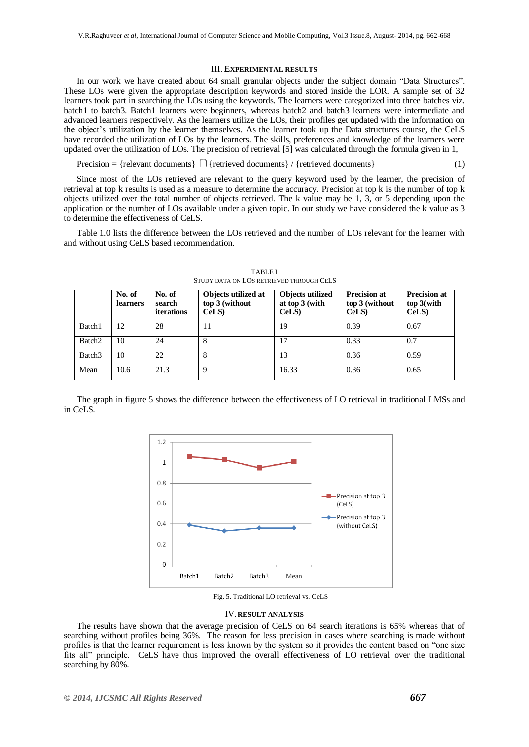#### III. **EXPERIMENTAL RESULTS**

In our work we have created about 64 small granular objects under the subject domain "Data Structures". These LOs were given the appropriate description keywords and stored inside the LOR. A sample set of 32 learners took part in searching the LOs using the keywords. The learners were categorized into three batches viz. batch1 to batch3. Batch1 learners were beginners, whereas batch2 and batch3 learners were intermediate and advanced learners respectively. As the learners utilize the LOs, their profiles get updated with the information on the object's utilization by the learner themselves. As the learner took up the Data structures course, the CeLS have recorded the utilization of LOs by the learners. The skills, preferences and knowledge of the learners were updated over the utilization of LOs. The precision of retrieval [5] was calculated through the formula given in 1,

Precision = {relevant documents}  $\bigcap$  {retrieved documents} / {retrieved documents} (1)

Since most of the LOs retrieved are relevant to the query keyword used by the learner, the precision of retrieval at top k results is used as a measure to determine the accuracy. Precision at top k is the number of top k objects utilized over the total number of objects retrieved. The k value may be 1, 3, or 5 depending upon the application or the number of LOs available under a given topic. In our study we have considered the k value as 3 to determine the effectiveness of CeLS.

Table 1.0 lists the difference between the LOs retrieved and the number of LOs relevant for the learner with and without using CeLS based recommendation.

|                    | No. of<br><b>learners</b> | No. of<br>search<br>iterations | Objects utilized at<br>top 3 (without<br>CeLS | Objects utilized<br>at top $3$ (with<br>$CeLS$ ) | <b>Precision at</b><br>top 3 (without<br>CeLS | <b>Precision at</b><br>$top$ 3(with<br>CeLS) |
|--------------------|---------------------------|--------------------------------|-----------------------------------------------|--------------------------------------------------|-----------------------------------------------|----------------------------------------------|
| Batch1             | 12                        | 28                             | 11                                            | 19                                               | 0.39                                          | 0.67                                         |
| Batch <sub>2</sub> | 10                        | 24                             | 8                                             | 17                                               | 0.33                                          | 0.7                                          |
| Batch <sub>3</sub> | 10                        | 22                             | 8                                             | 13                                               | 0.36                                          | 0.59                                         |
| Mean               | 10.6                      | 21.3                           | $\mathbf Q$                                   | 16.33                                            | 0.36                                          | 0.65                                         |

TABLE I STUDY DATA ON LOS RETRIEVED THROUGH CELS

The graph in figure 5 shows the difference between the effectiveness of LO retrieval in traditional LMSs and in CeLS.



Fig. 5. Traditional LO retrieval vs. CeLS

#### IV. **RESULT ANALYSIS**

The results have shown that the average precision of CeLS on 64 search iterations is 65% whereas that of searching without profiles being 36%. The reason for less precision in cases where searching is made without profiles is that the learner requirement is less known by the system so it provides the content based on "one size fits all" principle. CeLS have thus improved the overall effectiveness of LO retrieval over the traditional searching by  $80\%$ .